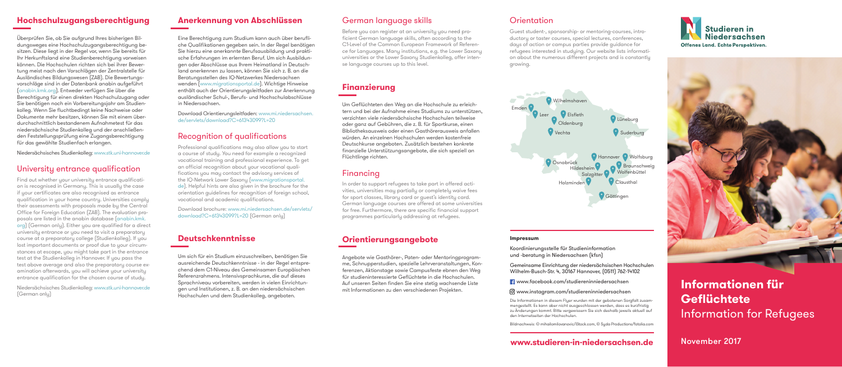### **Hochschulzugangsberechtigung**

Überprüfen Sie, ob Sie aufgrund Ihres bisherigen Bildungsweges eine Hochschulzugangsberechtigung besitzen. Diese liegt in der Regel vor, wenn Sie bereits für Ihr Herkunftsland eine Studienberechtigung vorweisen können. Die Hochschulen richten sich bei ihrer Bewertung meist nach den Vorschlägen der Zentralstelle für Ausländisches Bildungswesen (ZAB). Die Bewertungsvorschläge sind in der Datenbank anabin aufgeführt (anabin.kmk.org). Entweder verfügen Sie über die Berechtigung für einen direkten Hochschulzugang oder Sie benötigen noch ein Vorbereitungsjahr am Studienkolleg. Wenn Sie fluchtbedingt keine Nachweise oder Dokumente mehr besitzen, können Sie mit einem überdurchschnittlich bestandenem Aufnahmetest für das niedersächsische Studienkolleg und der anschließenden Feststellungsprüfung eine Zugangsberechtigung für das gewählte Studienfach erlangen.

Niedersächsisches Studienkolleg: www.stk.uni-hannover.de

Niedersächsisches Studienkolleg: www.stk.uni-hannover.de (German onlu)

### University entrance qualification

Find out whether your university entrance qualification is recognised in Germany. This is usually the case if your certificates are also recognised as entrance qualification in your home country. Universities comply their assessments with proposals made by the Central Office for Foreign Education (ZAB). The evaluation proposals are listed in the anabin database (anabin.kmk. org) (German only). Either you are qualified for a direct university entrance or you need to visit a preparatory course at a preparatory college (Studienkolleg). If you lost important documents or proof due to your circumstances at escape, you might take part in the entrance test at the Studienkolleg in Hannover. If you pass the test above average and also the preparatory course examination afterwards, you will achieve your university entrance qualification for the chosen course of study.

### **Anerkennung von Abschlüssen**

Eine Berechtigung zum Studium kann auch über berufliche Qualifikationen gegeben sein. In der Regel benötigen Sie hierzu eine anerkannte Berufsausbildung und praktische Erfahrungen im erlernten Beruf. Um sich Ausbildungen oder Abschlüsse aus Ihrem Heimatland in Deutschland anerkennen zu lassen, können Sie sich z. B. an die Beratungsstellen des IQ-Netzwerkes Niedersachsen wenden (www.migrationsportal.de). Wichtige Hinweise enthält auch der Orientierungsleitfaden zur Anerkennung ausländischer Schul-, Berufs- und Hochschulabschlüsse in Niedersachsen.

Download Orientierungsleitfaden: www.mi.niedersachsen. de/servlets/download?C=61343099?L=20

### Recognition of qualifications

Professional qualifications may also allow you to start a course of study. You need for example a recognized vocational training and professional experience. To get an official recognition about your vocational qualifications you may contact the advisory services of the IQ-Network Lower Saxony (www.migrationsportal. de). Helpful hints are also given in the brochure for the orientation guidelines for recognition of foreign school, vocational and academic qualifications.

Download brochure: www.mi.niedersachsen.de/servlets/ download?C=61343099?L=20 (German only)

### **Deutschkenntnisse**

Um sich für ein Studium einzuschreiben, benötigen Sie ausreichende Deutschkenntnisse - in der Regel entsprechend dem C1-Niveau des Gemeinsamen Europäischen Referenzrahmens. Intensivsprachkurse, die auf dieses Sprachniveau vorbereiten, werden in vielen Einrichtungen und Institutionen, z. B. an den niedersächsischen Hochschulen und dem Studienkolleg, angeboten.

### German language skills

Before you can register at an university you need proficient German language skills, often according to the C1-Level of the Common European Framework of Reference for Languages. Many institutions, e.g. the Lower Saxony universities or the Lower Saxony Studienkolleg, offer intense language courses up to this level.

### **Finanzierung**

Um Geflüchteten den Weg an die Hochschule zu erleichtern und bei der Aufnahme eines Studiums zu unterstützen, verzichten viele niedersächsische Hochschulen teilweise oder ganz auf Gebühren, die z. B. für Sportkurse, einen Bibliotheksausweis oder einen Gasthörerausweis anfallen würden. An einzelnen Hochschulen werden kostenfreie Deutschkurse angeboten. Zusätzlich bestehen konkrete finanzielle Unterstützungsangebote, die sich speziell an Flüchtlinge richten.

### Financing

In order to support refugees to take part in offered activities, universities may partially or completely waive fees for sport classes, library card or guest's identity card. German language courses are offered at some universities for free. Furthermore, there are specific financial support programmes particularly addressing at refugees.

### **Orientierungsangebote**

Angebote wie Gasthörer-, Paten- oder Mentoringprogramme, Schnupperstudien, spezielle Lehrveranstaltungen, Konferenzen, Aktionstage sowie Campusfeste ebnen den Weg für studieninteressierte Geflüchtete in die Hochschulen. Auf unseren Seiten finden Sie eine stetig wachsende Liste mit Informationen zu den verschiedenen Projekten.

## **Orientation**

Guest student-, sponsorship- or mentoring-courses, introductory or taster courses, special lectures, conferences, days of action or campus parties provide guidance for refugees interested in studying. Our website lists information about the numerous different projects and is constantly growing.



Koordinierungsstelle für Studieninformation und -beratung in Niedersachsen (kfsn)

Gemeinsame Einrichtung der niedersächsischen Hochschulen Wilhelm-Busch-Str. 4, 30167 Hannover, (0511) 762-14102

www.facebook.com/studiereninniedersachsen

www.instagram.com/studiereninniedersachsen

Die Informationen in diesem Flyer wurden mit der gebotenen Sorgfalt zusammengestellt. Es kann aber nicht ausgeschlossen werden, dass es kurzfristig zu Änderungen kommt. Bitte vergewissern Sie sich deshalb jeweils aktuell auf den Internetseiten der Hochschulen.

Bildnachweis: © mihailomilovanovic/iStock.com, © Syda Productions/fotolia.com





### **www.studieren-in-niedersachsen.de**

# **Informationen für Geflüchtete** Information for Refugees

November 2017